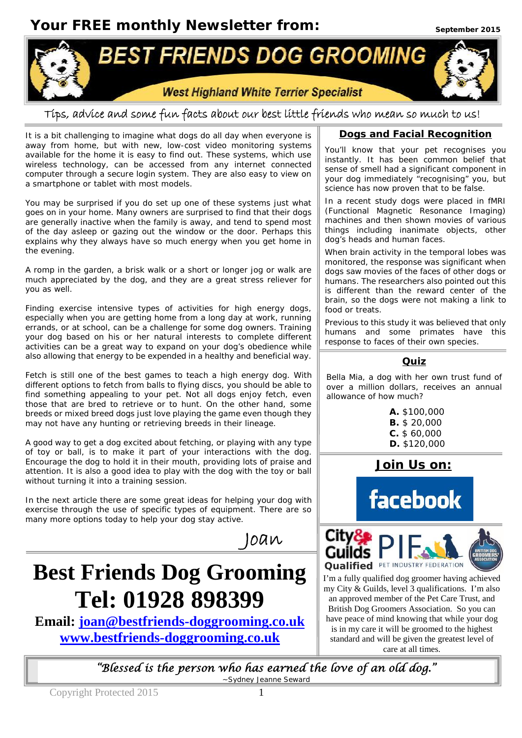**Your FREE monthly Newsletter from:**



# **Tips, advice and some fun facts about our best little friends who mean so much to us!**

It is a bit challenging to imagine what dogs do all day when everyone is away from home, but with new, low-cost video monitoring systems available for the home it is easy to find out. These systems, which use wireless technology, can be accessed from any internet connected computer through a secure login system. They are also easy to view on a smartphone or tablet with most models.

You may be surprised if you do set up one of these systems just what goes on in your home. Many owners are surprised to find that their dogs are generally inactive when the family is away, and tend to spend most of the day asleep or gazing out the window or the door. Perhaps this explains why they always have so much energy when you get home in the evening.

A romp in the garden, a brisk walk or a short or longer jog or walk are much appreciated by the dog, and they are a great stress reliever for you as well.

Finding exercise intensive types of activities for high energy dogs, especially when you are getting home from a long day at work, running errands, or at school, can be a challenge for some dog owners. Training your dog based on his or her natural interests to complete different activities can be a great way to expand on your dog's obedience while also allowing that energy to be expended in a healthy and beneficial way.

Fetch is still one of the best games to teach a high energy dog. With different options to fetch from balls to flying discs, you should be able to find something appealing to your pet. Not all dogs enjoy fetch, even those that are bred to retrieve or to hunt. On the other hand, some breeds or mixed breed dogs just love playing the game even though they may not have any hunting or retrieving breeds in their lineage.

A good way to get a dog excited about fetching, or playing with any type of toy or ball, is to make it part of your interactions with the dog. Encourage the dog to hold it in their mouth, providing lots of praise and attention. It is also a good idea to play with the dog with the toy or ball without turning it into a training session.

In the next article there are some great ideas for helping your dog with exercise through the use of specific types of equipment. There are so many more options today to help your dog stay active.

# **Best Friends Dog Grooming Tel: 01928 898399**

**Email: joan@bestfriends-doggrooming.co.uk www.bestfriends-doggrooming.co.uk**

### **Dogs and Facial Recognition**

You'll know that your pet recognises you instantly. It has been common belief that sense of smell had a significant component in your dog immediately "recognising" you, but science has now proven that to be false.

In a recent study dogs were placed in fMRI (Functional Magnetic Resonance Imaging) machines and then shown movies of various things including inanimate objects, other dog's heads and human faces.

When brain activity in the temporal lobes was monitored, the response was significant when dogs saw movies of the faces of other dogs or humans. The researchers also pointed out this is different than the reward center of the brain, so the dogs were not making a link to food or treats.

Previous to this study it was believed that only humans and some primates have this response to faces of their own species.

### **Quiz**

Bella Mia, a dog with her own trust fund of over a million dollars, receives an annual allowance of how much?

> **A.** \$100,000 **B.** \$ 20,000 **C.** \$ 60,000 **D.** \$120,000

**Join Us on:**





I'm a fully qualified dog groomer having achieved my City & Guilds, level 3 qualifications. I'm also an approved member of the Pet Care Trust, and British Dog Groomers Association. So you can have peace of mind knowing that while your dog

is in my care it will be groomed to the highest standard and will be given the greatest level of care at all times.

**"Blessed is the person who has earned the love of an old dog."**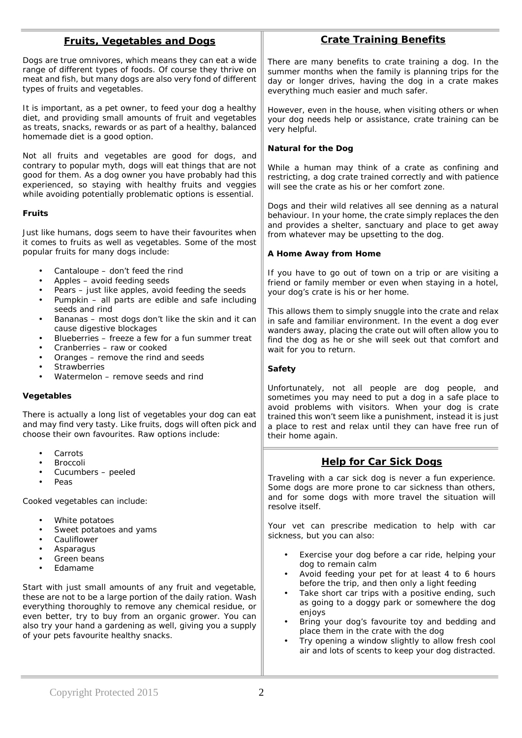| <b>Fruits, Vegetables and Dogs</b>                                                                                                                                                                                                                                                                                                                         | <b>Crate Training Benefits</b>                                                                                                                                                                                                                                                                                                                                                                              |
|------------------------------------------------------------------------------------------------------------------------------------------------------------------------------------------------------------------------------------------------------------------------------------------------------------------------------------------------------------|-------------------------------------------------------------------------------------------------------------------------------------------------------------------------------------------------------------------------------------------------------------------------------------------------------------------------------------------------------------------------------------------------------------|
| Dogs are true omnivores, which means they can eat a wide<br>range of different types of foods. Of course they thrive on<br>meat and fish, but many dogs are also very fond of different<br>types of fruits and vegetables.                                                                                                                                 | There are many benefits to crate training a dog. In the<br>summer months when the family is planning trips for the<br>day or longer drives, having the dog in a crate makes<br>everything much easier and much safer.                                                                                                                                                                                       |
| It is important, as a pet owner, to feed your dog a healthy<br>diet, and providing small amounts of fruit and vegetables<br>as treats, snacks, rewards or as part of a healthy, balanced<br>homemade diet is a good option.                                                                                                                                | However, even in the house, when visiting others or when<br>your dog needs help or assistance, crate training can be<br>very helpful.                                                                                                                                                                                                                                                                       |
| Not all fruits and vegetables are good for dogs, and                                                                                                                                                                                                                                                                                                       | Natural for the Dog                                                                                                                                                                                                                                                                                                                                                                                         |
| contrary to popular myth, dogs will eat things that are not<br>good for them. As a dog owner you have probably had this<br>experienced, so staying with healthy fruits and veggies<br>while avoiding potentially problematic options is essential.                                                                                                         | While a human may think of a crate as confining and<br>restricting, a dog crate trained correctly and with patience<br>will see the crate as his or her comfort zone.                                                                                                                                                                                                                                       |
| Fruits                                                                                                                                                                                                                                                                                                                                                     | Dogs and their wild relatives all see denning as a natural<br>behaviour. In your home, the crate simply replaces the den<br>and provides a shelter, sanctuary and place to get away                                                                                                                                                                                                                         |
| Just like humans, dogs seem to have their favourites when<br>it comes to fruits as well as vegetables. Some of the most                                                                                                                                                                                                                                    | from whatever may be upsetting to the dog.                                                                                                                                                                                                                                                                                                                                                                  |
| popular fruits for many dogs include:                                                                                                                                                                                                                                                                                                                      | A Home Away from Home                                                                                                                                                                                                                                                                                                                                                                                       |
| Cantaloupe - don't feed the rind<br>Apples - avoid feeding seeds<br>$\bullet$<br>Pears - just like apples, avoid feeding the seeds<br>$\bullet$<br>Pumpkin - all parts are edible and safe including<br>$\bullet$                                                                                                                                          | If you have to go out of town on a trip or are visiting a<br>friend or family member or even when staying in a hotel,<br>your dog's crate is his or her home.                                                                                                                                                                                                                                               |
| seeds and rind<br>Bananas - most dogs don't like the skin and it can<br>$\bullet$<br>cause digestive blockages<br>Blueberries - freeze a few for a fun summer treat<br>$\bullet$<br>Cranberries - raw or cooked<br>$\bullet$<br>Oranges - remove the rind and seeds<br>$\bullet$                                                                           | This allows them to simply snuggle into the crate and relax<br>in safe and familiar environment. In the event a dog ever<br>wanders away, placing the crate out will often allow you to<br>find the dog as he or she will seek out that comfort and<br>wait for you to return.                                                                                                                              |
| Strawberries<br>$\bullet$<br>Watermelon - remove seeds and rind                                                                                                                                                                                                                                                                                            | Safety                                                                                                                                                                                                                                                                                                                                                                                                      |
| Vegetables<br>There is actually a long list of vegetables your dog can eat<br>and may find very tasty. Like fruits, dogs will often pick and<br>choose their own favourites. Raw options include:                                                                                                                                                          | Unfortunately, not all people are dog people, and<br>sometimes you may need to put a dog in a safe place to<br>avoid problems with visitors. When your dog is crate<br>trained this won't seem like a punishment, instead it is just<br>a place to rest and relax until they can have free run of<br>their home again.                                                                                      |
| Carrots<br>$\bullet$<br>Broccoli                                                                                                                                                                                                                                                                                                                           | <b>Help for Car Sick Dogs</b>                                                                                                                                                                                                                                                                                                                                                                               |
| Cucumbers - peeled                                                                                                                                                                                                                                                                                                                                         | Traveling with a car sick dog is never a fun experience.                                                                                                                                                                                                                                                                                                                                                    |
| Peas<br>Cooked vegetables can include:                                                                                                                                                                                                                                                                                                                     | Some dogs are more prone to car sickness than others,<br>and for some dogs with more travel the situation will<br>resolve itself.                                                                                                                                                                                                                                                                           |
| White potatoes<br>$\bullet$<br>Sweet potatoes and yams<br>Cauliflower<br>Asparagus<br>Green beans<br>Edamame                                                                                                                                                                                                                                               | Your vet can prescribe medication to help with car<br>sickness, but you can also:<br>Exercise your dog before a car ride, helping your<br>$\bullet$<br>dog to remain calm<br>Avoid feeding your pet for at least 4 to 6 hours<br>$\bullet$                                                                                                                                                                  |
| Start with just small amounts of any fruit and vegetable,<br>these are not to be a large portion of the daily ration. Wash<br>everything thoroughly to remove any chemical residue, or<br>even better, try to buy from an organic grower. You can<br>also try your hand a gardening as well, giving you a supply<br>of your pets favourite healthy snacks. | before the trip, and then only a light feeding<br>Take short car trips with a positive ending, such<br>$\bullet$<br>as going to a doggy park or somewhere the dog<br>enjoys<br>Bring your dog's favourite toy and bedding and<br>$\bullet$<br>place them in the crate with the dog<br>Try opening a window slightly to allow fresh cool<br>$\bullet$<br>air and lots of scents to keep your dog distracted. |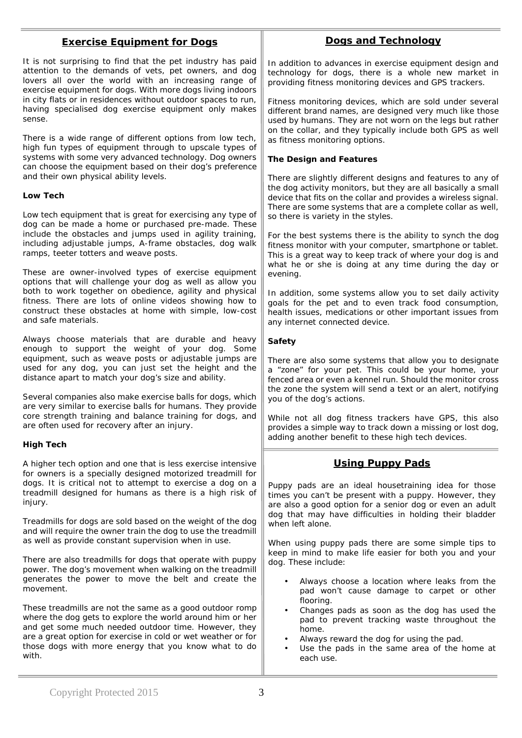## **Exercise Equipment for Dogs**

It is not surprising to find that the pet industry has paid attention to the demands of vets, pet owners, and dog lovers all over the world with an increasing range of exercise equipment for dogs. With more dogs living indoors in city flats or in residences without outdoor spaces to run, having specialised dog exercise equipment only makes sense.

There is a wide range of different options from low tech, high fun types of equipment through to upscale types of systems with some very advanced technology. Dog owners can choose the equipment based on their dog's preference and their own physical ability levels.

#### **Low Tech**

Low tech equipment that is great for exercising any type of dog can be made a home or purchased pre-made. These include the obstacles and jumps used in agility training, including adjustable jumps, A-frame obstacles, dog walk ramps, teeter totters and weave posts.

These are owner-involved types of exercise equipment options that will challenge your dog as well as allow you both to work together on obedience, agility and physical fitness. There are lots of online videos showing how to construct these obstacles at home with simple, low-cost and safe materials.

Always choose materials that are durable and heavy enough to support the weight of your dog. Some equipment, such as weave posts or adjustable jumps are used for any dog, you can just set the height and the distance apart to match your dog's size and ability.

Several companies also make exercise balls for dogs, which are very similar to exercise balls for humans. They provide core strength training and balance training for dogs, and are often used for recovery after an injury.

#### **High Tech**

A higher tech option and one that is less exercise intensive for owners is a specially designed motorized treadmill for dogs. It is critical not to attempt to exercise a dog on a treadmill designed for humans as there is a high risk of injury.

Treadmills for dogs are sold based on the weight of the dog and will require the owner train the dog to use the treadmill as well as provide constant supervision when in use.

There are also treadmills for dogs that operate with puppy power. The dog's movement when walking on the treadmill generates the power to move the belt and create the movement.

These treadmills are not the same as a good outdoor romp where the dog gets to explore the world around him or her and get some much needed outdoor time. However, they are a great option for exercise in cold or wet weather or for those dogs with more energy that you know what to do with.

## **Dogs and Technology**

In addition to advances in exercise equipment design and technology for dogs, there is a whole new market in providing fitness monitoring devices and GPS trackers.

Fitness monitoring devices, which are sold under several different brand names, are designed very much like those used by humans. They are not worn on the legs but rather on the collar, and they typically include both GPS as well as fitness monitoring options.

**The Design and Features**

There are slightly different designs and features to any of the dog activity monitors, but they are all basically a small device that fits on the collar and provides a wireless signal. There are some systems that are a complete collar as well. so there is variety in the styles.

For the best systems there is the ability to synch the dog fitness monitor with your computer, smartphone or tablet. This is a great way to keep track of where your dog is and what he or she is doing at any time during the day or evening.

In addition, some systems allow you to set daily activity goals for the pet and to even track food consumption, health issues, medications or other important issues from any internet connected device.

**Safety**

There are also some systems that allow you to designate a "zone" for your pet. This could be your home, your fenced area or even a kennel run. Should the monitor cross the zone the system will send a text or an alert, notifying you of the dog's actions.

While not all dog fitness trackers have GPS, this also provides a simple way to track down a missing or lost dog, adding another benefit to these high tech devices.

#### **Using Puppy Pads**

Puppy pads are an ideal housetraining idea for those times you can't be present with a puppy. However, they are also a good option for a senior dog or even an adult dog that may have difficulties in holding their bladder when left alone.

When using puppy pads there are some simple tips to keep in mind to make life easier for both you and your dog. These include:

- Always choose a location where leaks from the pad won't cause damage to carpet or other flooring.
- Changes pads as soon as the dog has used the pad to prevent tracking waste throughout the home.
- Always reward the dog for using the pad.
- Use the pads in the same area of the home at each use.